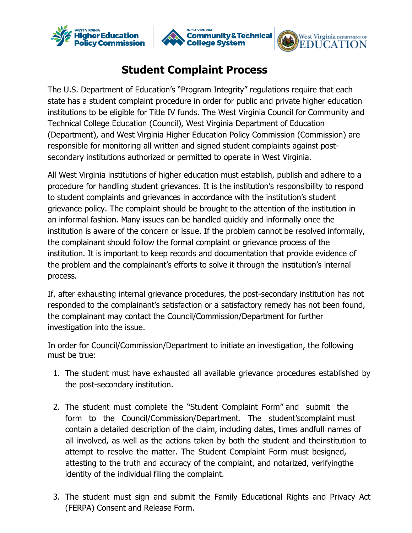





## **Student Complaint Process**

secondary institutions authorized or permitted to operate in West Virginia. responsible for monitoring all written and signed student complaints against post- (Department), and West Virginia Higher Education Policy Commission (Commission) are Technical College Education (Council), West Virginia Department of Education institutions to be eligible for Title IV funds. The West Virginia Council for Community and state has a student complaint procedure in order for public and private higher education The U.S. Department of Education's "Program Integrity" regulations require that each

process. the problem and the complainant's efforts to solve it through the institution's internal institution. It is important to keep records and documentation that provide evidence of the complainant should follow the formal complaint or grievance process of the institution is aware of the concern or issue. If the problem cannot be resolved informally, an informal fashion. Many issues can be handled quickly and informally once the grievance policy. The complaint should be brought to the attention of the institution in to student complaints and grievances in accordance with the institution's student procedure for handling student grievances. It is the institution's responsibility to respond All West Virginia institutions of higher education must establish, publish and adhere to a

investigation into the issue. the complainant may contact the Council/Commission/Department for further responded to the complainant's satisfaction or a satisfactory remedy has not been found, If, after exhausting internal grievance procedures, the post-secondary institution has not

must be true: In order for Council/Commission/Department to initiate an investigation, the following

- the post-secondary institution. 1. The student must have exhausted all available grievance procedures established by
- identity of the individual filing the complaint. attesting to the truth and accuracy of the complaint, and notarized, verifyingthe attempt to resolve the matter. The Student Complaint Form must besigned, all involved, as well as the actions taken by both the student and theinstitution to contain a detailed description of the claim, including dates, times andfull names of form to the Council/Commission/Department. The student'scomplaint must 2. The student must complete the "Student Complaint Form" [and submit the](http://www.wvhepc.edu/wp-content/uploads/2015/10/Complaint-Form2.pdf)
- (FERPA) Consent and Release Form. 3. The student must sign and submit the Family Educational Rights and Privacy Act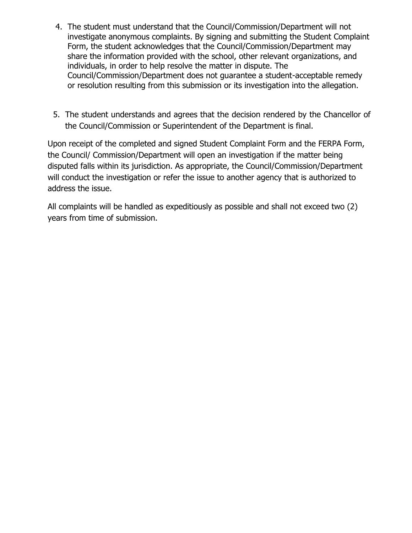- 4. The student must understand that the Council/Commission/Department will not investigate anonymous complaints. By signing and submitting the Student Complaint Form, the student acknowledges that the Council/Commission/Department may share the information provided with the school, other relevant organizations, and individuals, in order to help resolve the matter in dispute. The Council/Commission/Department does not guarantee a student-acceptable remedy or resolution resulting from this submission or its investigation into the allegation.
- 5. The student understands and agrees that the decision rendered by the Chancellor of the Council/Commission or Superintendent of the Department is final.

Upon receipt of the completed and signed Student Complaint Form and the FERPA Form, the Council/ Commission/Department will open an investigation if the matter being disputed falls within its jurisdiction. As appropriate, the Council/Commission/Department will conduct the investigation or refer the issue to another agency that is authorized to address the issue.

All complaints will be handled as expeditiously as possible and shall not exceed two (2) years from time of submission.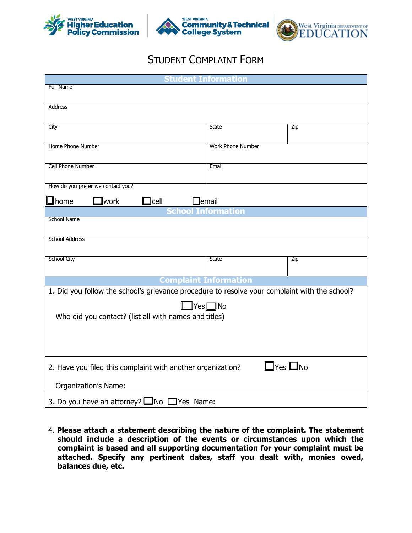





## STUDENT COMPLAINT FORM

| <b>Student Information</b>                                                                    |                                 |                         |
|-----------------------------------------------------------------------------------------------|---------------------------------|-------------------------|
| <b>Full Name</b>                                                                              |                                 |                         |
| Address                                                                                       |                                 |                         |
|                                                                                               |                                 |                         |
| City                                                                                          | <b>State</b>                    | Zip                     |
| Home Phone Number                                                                             | <b>Work Phone Number</b>        |                         |
|                                                                                               |                                 |                         |
| Cell Phone Number                                                                             | Email                           |                         |
|                                                                                               |                                 |                         |
| How do you prefer we contact you?                                                             |                                 |                         |
| <b>D</b> home<br>${\mathbf \mathsf{I}}$ work<br>$\mathsf{l}$ cell<br>$\Box$ email             |                                 |                         |
| <b>School Name</b>                                                                            | <b>chool Information</b>        |                         |
|                                                                                               |                                 |                         |
| <b>School Address</b>                                                                         |                                 |                         |
|                                                                                               |                                 |                         |
| <b>School City</b>                                                                            | <b>State</b>                    | Zip                     |
|                                                                                               |                                 |                         |
|                                                                                               | <b>Complaint Information</b>    |                         |
| 1. Did you follow the school's grievance procedure to resolve your complaint with the school? |                                 |                         |
|                                                                                               | $\blacksquare$ Yes $\square$ No |                         |
| Who did you contact? (list all with names and titles)                                         |                                 |                         |
|                                                                                               |                                 |                         |
|                                                                                               |                                 |                         |
|                                                                                               |                                 |                         |
| 2. Have you filed this complaint with another organization?                                   |                                 | $\exists$ Yes $\Box$ No |
| <b>Organization's Name:</b>                                                                   |                                 |                         |
| 3. Do you have an attorney? $\square$ No $\square$ Yes Name:                                  |                                 |                         |

4. **Please attach a statement describing the nature of the complaint. The statement should include a description of the events or circumstances upon which the complaint is based and all supporting documentation for your complaint must be attached. Specify any pertinent dates, staff you dealt with, monies owed, balances due, etc.**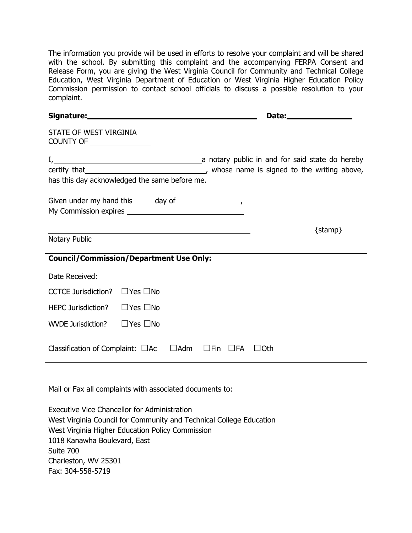The information you provide will be used in efforts to resolve your complaint and will be shared with the school. By submitting this complaint and the accompanying FERPA Consent and Release Form, you are giving the West Virginia Council for Community and Technical College Education, West Virginia Department of Education or West Virginia Higher Education Policy Commission permission to contact school officials to discuss a possible resolution to your complaint.

| STATE OF WEST VIRGINIA<br>COUNTY OF _________________         |                                                                                                                                                                                                                               |            |                            |              |             |
|---------------------------------------------------------------|-------------------------------------------------------------------------------------------------------------------------------------------------------------------------------------------------------------------------------|------------|----------------------------|--------------|-------------|
|                                                               |                                                                                                                                                                                                                               |            |                            |              |             |
|                                                               |                                                                                                                                                                                                                               |            |                            |              |             |
| has this day acknowledged the same before me.                 |                                                                                                                                                                                                                               |            |                            |              |             |
| Given under my hand this $\_\_\_day\$ of $\_\_\_\_\_\_\_\_\_$ |                                                                                                                                                                                                                               |            |                            |              |             |
|                                                               | the control of the control of the control of the control of the control of the control of the control of the control of the control of the control of the control of the control of the control of the control of the control |            |                            |              | $\{stamp\}$ |
| Notary Public                                                 |                                                                                                                                                                                                                               |            |                            |              |             |
| <b>Council/Commission/Department Use Only:</b>                |                                                                                                                                                                                                                               |            |                            |              |             |
| Date Received:                                                |                                                                                                                                                                                                                               |            |                            |              |             |
| CCTCE Jurisdiction? $\Box$ Yes $\Box$ No                      |                                                                                                                                                                                                                               |            |                            |              |             |
| <b>HEPC Jurisdiction?</b>                                     | $\Box$ Yes $\Box$ No                                                                                                                                                                                                          |            |                            |              |             |
| WVDE Jurisdiction?                                            | $\Box$ Yes $\Box$ No                                                                                                                                                                                                          |            |                            |              |             |
| Classification of Complaint: $\Box$ Ac                        |                                                                                                                                                                                                                               | $\Box$ Adm | $\square$ Fin $\square$ FA | $\sqcup$ Oth |             |

Mail or Fax all complaints with associated documents to:

Executive Vice Chancellor for Administration West Virginia Council for Community and Technical College Education West Virginia Higher Education Policy Commission 1018 Kanawha Boulevard, East Suite 700 Charleston, WV 25301 Fax: 304-558-5719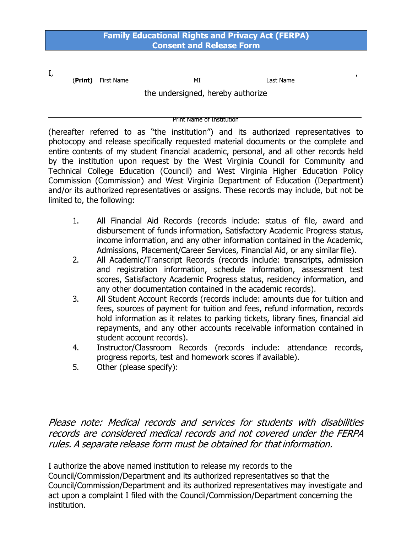## **Family Educational Rights and Privacy Act (FERPA) Consent and Release Form**

| л., |         |            |    |                                   |  |
|-----|---------|------------|----|-----------------------------------|--|
|     | (Print) | First Name | MI | Last Name                         |  |
|     |         |            |    | the undersigned, hereby authorize |  |

Print Name of Institution

(hereafter referred to as "the institution") and its authorized representatives to photocopy and release specifically requested material documents or the complete and entire contents of my student financial academic, personal, and all other records held by the institution upon request by the West Virginia Council for Community and Technical College Education (Council) and West Virginia Higher Education Policy Commission (Commission) and West Virginia Department of Education (Department) and/or its authorized representatives or assigns. These records may include, but not be limited to, the following:

- 1. All Financial Aid Records (records include: status of file, award and disbursement of funds information, Satisfactory Academic Progress status, income information, and any other information contained in the Academic, Admissions, Placement/Career Services, Financial Aid, or any similar file).
- 2. All Academic/Transcript Records (records include: transcripts, admission and registration information, schedule information, assessment test scores, Satisfactory Academic Progress status, residency information, and any other documentation contained in the academic records).
- 3. All Student Account Records (records include: amounts due for tuition and fees, sources of payment for tuition and fees, refund information, records hold information as it relates to parking tickets, library fines, financial aid repayments, and any other accounts receivable information contained in student account records).
- 4. Instructor/Classroom Records (records include: attendance records, progress reports, test and homework scores if available).
- 5. Other (please specify):

Please note: Medical records and services for students with disabilities records are considered medical records and not covered under the FERPA rules. A separate release form must be obtained for that information.

I authorize the above named institution to release my records to the Council/Commission/Department and its authorized representatives so that the Council/Commission/Department and its authorized representatives may investigate and act upon a complaint I filed with the Council/Commission/Department concerning the institution.